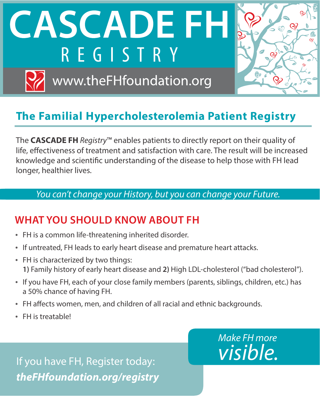**CASCADE FI-**REGISTRY

www.theFHfoundation.org



### **The Familial Hypercholesterolemia Patient Registry**

The **CASCADE FH** *Registry*™ enables patients to directly report on their quality of life, effectiveness of treatment and satisfaction with care. The result will be increased knowledge and scientific understanding of the disease to help those with FH lead longer, healthier lives.

#### *You can't change your History, but you can change your Future.*

#### **WHAT YOU SHOULD KNOW ABOUT FH**

- FH is a common life-threatening inherited disorder.
- If untreated, FH leads to early heart disease and premature heart attacks.
- FH is characterized by two things: **1)** Family history of early heart disease and **2)** High LDL-cholesterol ("bad cholesterol").
- If you have FH, each of your close family members (parents, siblings, children, etc.) has a 50% chance of having FH.
- FH affects women, men, and children of all racial and ethnic backgrounds.
- FH is treatable!

If you have FH, Register today: *theFHfoundation.org/registry*